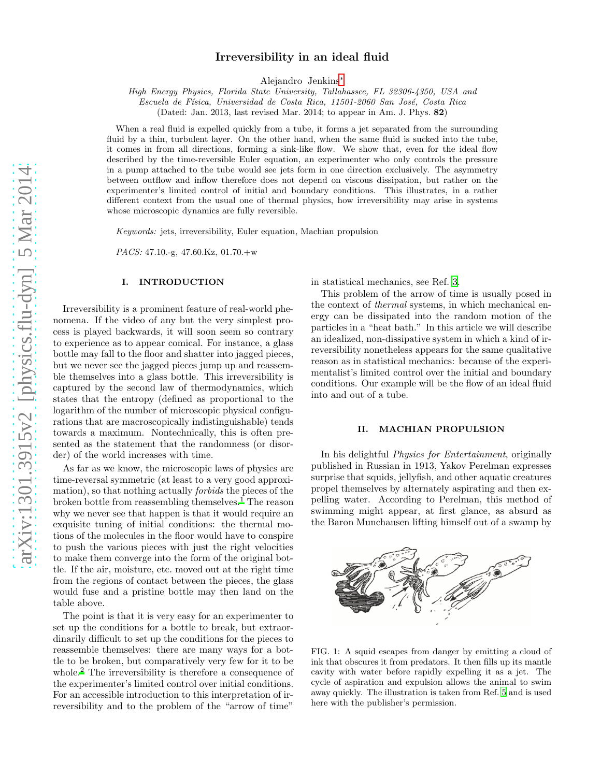# Irreversibility in an ideal fluid

Alejandro Jenkins[∗](#page-6-0)

*High Energy Physics, Florida State University, Tallahassee, FL 32306-4350, USA and*

*Escuela de F´ısica, Universidad de Costa Rica, 11501-2060 San Jos´e, Costa Rica*

(Dated: Jan. 2013, last revised Mar. 2014; to appear in Am. J. Phys. 82)

When a real fluid is expelled quickly from a tube, it forms a jet separated from the surrounding fluid by a thin, turbulent layer. On the other hand, when the same fluid is sucked into the tube, it comes in from all directions, forming a sink-like flow. We show that, even for the ideal flow described by the time-reversible Euler equation, an experimenter who only controls the pressure in a pump attached to the tube would see jets form in one direction exclusively. The asymmetry between outflow and inflow therefore does not depend on viscous dissipation, but rather on the experimenter's limited control of initial and boundary conditions. This illustrates, in a rather different context from the usual one of thermal physics, how irreversibility may arise in systems whose microscopic dynamics are fully reversible.

*Keywords:* jets, irreversibility, Euler equation, Machian propulsion

*PACS:* 47.10.-g, 47.60.Kz, 01.70.+w

### I. INTRODUCTION

Irreversibility is a prominent feature of real-world phenomena. If the video of any but the very simplest process is played backwards, it will soon seem so contrary to experience as to appear comical. For instance, a glass bottle may fall to the floor and shatter into jagged pieces, but we never see the jagged pieces jump up and reassemble themselves into a glass bottle. This irreversibility is captured by the second law of thermodynamics, which states that the entropy (defined as proportional to the logarithm of the number of microscopic physical configurations that are macroscopically indistinguishable) tends towards a maximum. Nontechnically, this is often presented as the statement that the randomness (or disorder) of the world increases with time.

As far as we know, the microscopic laws of physics are time-reversal symmetric (at least to a very good approximation), so that nothing actually forbids the pieces of the broken bottle from reassembling themselves.[1](#page-6-1) The reason why we never see that happen is that it would require an exquisite tuning of initial conditions: the thermal motions of the molecules in the floor would have to conspire to push the various pieces with just the right velocities to make them converge into the form of the original bottle. If the air, moisture, etc. moved out at the right time from the regions of contact between the pieces, the glass would fuse and a pristine bottle may then land on the table above.

The point is that it is very easy for an experimenter to set up the conditions for a bottle to break, but extraordinarily difficult to set up the conditions for the pieces to reassemble themselves: there are many ways for a bottle to be broken, but comparatively very few for it to be whole.[2](#page-6-2) The irreversibility is therefore a consequence of the experimenter's limited control over initial conditions. For an accessible introduction to this interpretation of irreversibility and to the problem of the "arrow of time"

in statistical mechanics, see Ref. [3](#page-6-3).

This problem of the arrow of time is usually posed in the context of thermal systems, in which mechanical energy can be dissipated into the random motion of the particles in a "heat bath." In this article we will describe an idealized, non-dissipative system in which a kind of irreversibility nonetheless appears for the same qualitative reason as in statistical mechanics: because of the experimentalist's limited control over the initial and boundary conditions. Our example will be the flow of an ideal fluid into and out of a tube.

#### <span id="page-0-1"></span>II. MACHIAN PROPULSION

In his delightful Physics for Entertainment, originally published in Russian in 1913, Yakov Perelman expresses surprise that squids, jellyfish, and other aquatic creatures propel themselves by alternately aspirating and then expelling water. According to Perelman, this method of swimming might appear, at first glance, as absurd as the Baron Munchausen lifting himself out of a swamp by

<span id="page-0-0"></span>

FIG. 1: A squid escapes from danger by emitting a cloud of ink that obscures it from predators. It then fills up its mantle cavity with water before rapidly expelling it as a jet. The cycle of aspiration and expulsion allows the animal to swim away quickly. The illustration is taken from Ref. [5](#page-6-4) and is used here with the publisher's permission.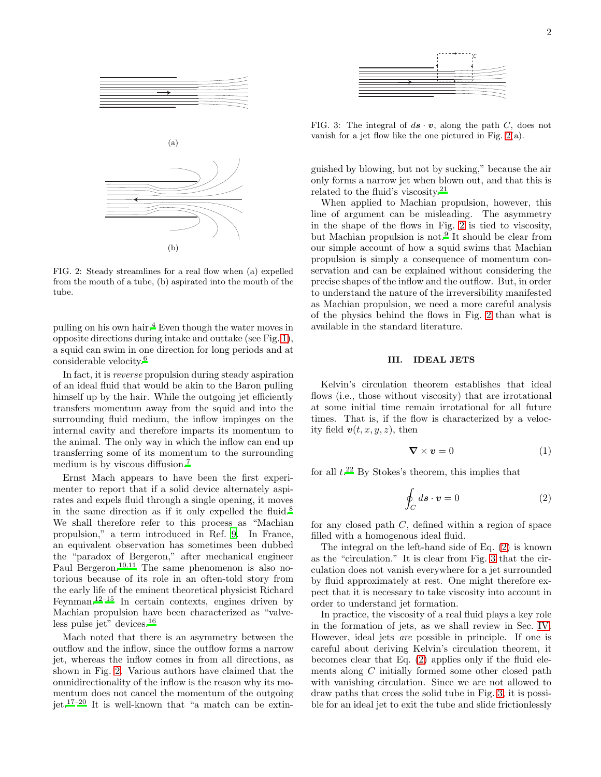

<span id="page-1-0"></span>FIG. 2: Steady streamlines for a real flow when (a) expelled from the mouth of a tube, (b) aspirated into the mouth of the tube.

pulling on his own hair.[4](#page-6-5) Even though the water moves in opposite directions during intake and outtake (see Fig. [1\)](#page-0-0), a squid can swim in one direction for long periods and at considerable velocity[.](#page-6-6)<sup>6</sup>

In fact, it is reverse propulsion during steady aspiration of an ideal fluid that would be akin to the Baron pulling himself up by the hair. While the outgoing jet efficiently transfers momentum away from the squid and into the surrounding fluid medium, the inflow impinges on the internal cavity and therefore imparts its momentum to the animal. The only way in which the inflow can end up transferring some of its momentum to the surrounding medium is by viscous diffusion.[7](#page-6-7)

Ernst Mach appears to have been the first experimenter to report that if a solid device alternately aspirates and expels fluid through a single opening, it moves in the same direction as if it only expelled the fluid.<sup>[8](#page-6-8)</sup> We shall therefore refer to this process as "Machian propulsion," a term introduced in Ref. [9.](#page-6-9) In France, an equivalent observation has sometimes been dubbed the "paradox of Bergeron," after mechanical engineer Paul Bergeron.[10](#page-6-10)[,11](#page-6-11) The same phenomenon is also notorious because of its role in an often-told story from the early life of the eminent theoretical physicist Richard Feynman.<sup>[12](#page-6-12)[–15](#page-7-0)</sup> In certain contexts, engines driven by Machian propulsion have been characterized as "valve-less pulse jet" devices[.](#page-7-1) $16$ 

Mach noted that there is an asymmetry between the outflow and the inflow, since the outflow forms a narrow jet, whereas the inflow comes in from all directions, as shown in Fig. [2.](#page-1-0) Various authors have claimed that the omnidirectionality of the inflow is the reason why its momentum does not cancel the momentum of the outgoing jet.[17](#page-7-2)[–20](#page-7-3) It is well-known that "a match can be extin-



<span id="page-1-2"></span>FIG. 3: The integral of  $d\mathbf{s} \cdot \mathbf{v}$ , along the path C, does not vanish for a jet flow like the one pictured in Fig. [2\(](#page-1-0)a).

guished by blowing, but not by sucking," because the air only forms a narrow jet when blown out, and that this is related to the fluid's viscosity.[21](#page-7-4)

When applied to Machian propulsion, however, this line of argument can be misleading. The asymmetry in the shape of the flows in Fig. [2](#page-1-0) is tied to viscosity, but Machian propulsion is not.<sup>[9](#page-6-9)</sup> It should be clear from our simple account of how a squid swims that Machian propulsion is simply a consequence of momentum conservation and can be explained without considering the precise shapes of the inflow and the outflow. But, in order to understand the nature of the irreversibility manifested as Machian propulsion, we need a more careful analysis of the physics behind the flows in Fig. [2](#page-1-0) than what is available in the standard literature.

### <span id="page-1-4"></span>III. IDEAL JETS

Kelvin's circulation theorem establishes that ideal flows (i.e., those without viscosity) that are irrotational at some initial time remain irrotational for all future times. That is, if the flow is characterized by a velocity field  $v(t, x, y, z)$ , then

<span id="page-1-3"></span>
$$
\nabla \times \mathbf{v} = 0 \tag{1}
$$

for all  $t.^{22}$  $t.^{22}$  $t.^{22}$  By Stokes's theorem, this implies that

<span id="page-1-1"></span>
$$
\oint_C ds \cdot \mathbf{v} = 0 \tag{2}
$$

for any closed path C, defined within a region of space filled with a homogenous ideal fluid.

The integral on the left-hand side of Eq. [\(2\)](#page-1-1) is known as the "circulation." It is clear from Fig. [3](#page-1-2) that the circulation does not vanish everywhere for a jet surrounded by fluid approximately at rest. One might therefore expect that it is necessary to take viscosity into account in order to understand jet formation.

In practice, the viscosity of a real fluid plays a key role in the formation of jets, as we shall review in Sec. [IV.](#page-2-0) However, ideal jets are possible in principle. If one is careful about deriving Kelvin's circulation theorem, it becomes clear that Eq. [\(2\)](#page-1-1) applies only if the fluid elements along C initially formed some other closed path with vanishing circulation. Since we are not allowed to draw paths that cross the solid tube in Fig. [3,](#page-1-2) it is possible for an ideal jet to exit the tube and slide frictionlessly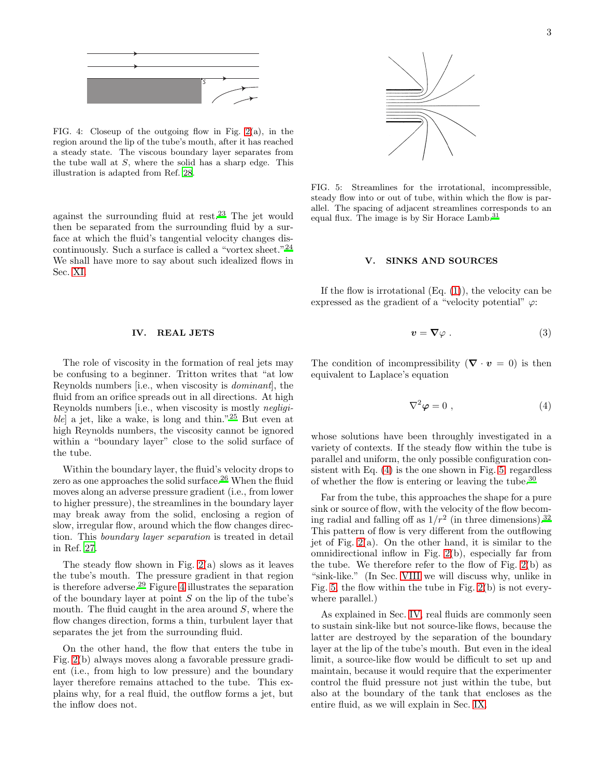

<span id="page-2-1"></span>FIG. 4: Closeup of the outgoing flow in Fig. [2\(](#page-1-0)a), in the region around the lip of the tube's mouth, after it has reached a steady state. The viscous boundary layer separates from the tube wall at  $S$ , where the solid has a sharp edge. This illustration is adapted from Ref. [28](#page-7-6).

against the surrounding fluid at rest.<sup>[23](#page-7-7)</sup> The jet would then be separated from the surrounding fluid by a surface at which the fluid's tangential velocity changes discontinuously. Such a surface is called a "vortex sheet."[24](#page-7-8) We shall have more to say about such idealized flows in Sec. [XI.](#page-5-0)

### <span id="page-2-0"></span>IV. REAL JETS

The role of viscosity in the formation of real jets may be confusing to a beginner. Tritton writes that "at low Reynolds numbers [i.e., when viscosity is dominant], the fluid from an orifice spreads out in all directions. At high Reynolds numbers [i.e., when viscosity is mostly negligible] a jet, like a wake, is long and thin."[25](#page-7-9) But even at high Reynolds numbers, the viscosity cannot be ignored within a "boundary layer" close to the solid surface of the tube.

Within the boundary layer, the fluid's velocity drops to zero as one approaches the solid surface.[26](#page-7-10) When the fluid moves along an adverse pressure gradient (i.e., from lower to higher pressure), the streamlines in the boundary layer may break away from the solid, enclosing a region of slow, irregular flow, around which the flow changes direction. This boundary layer separation is treated in detail in Ref. [27.](#page-7-11)

The steady flow shown in Fig. [2\(](#page-1-0)a) slows as it leaves the tube's mouth. The pressure gradient in that region is therefore adverse.[29](#page-7-12) Figure [4](#page-2-1) illustrates the separation of the boundary layer at point  $S$  on the lip of the tube's mouth. The fluid caught in the area around  $S$ , where the flow changes direction, forms a thin, turbulent layer that separates the jet from the surrounding fluid.

On the other hand, the flow that enters the tube in Fig. [2\(](#page-1-0)b) always moves along a favorable pressure gradient (i.e., from high to low pressure) and the boundary layer therefore remains attached to the tube. This explains why, for a real fluid, the outflow forms a jet, but the inflow does not.



<span id="page-2-3"></span>FIG. 5: Streamlines for the irrotational, incompressible, steady flow into or out of tube, within which the flow is parallel. The spacing of adjacent streamlines corresponds to an equal flux[.](#page-7-13) The image is by Sir Horace Lamb.<sup>31</sup>

#### V. SINKS AND SOURCES

If the flow is irrotational  $(Eq. (1))$  $(Eq. (1))$  $(Eq. (1))$ , the velocity can be expressed as the gradient of a "velocity potential"  $\varphi$ :

$$
v = \nabla \varphi \ . \tag{3}
$$

The condition of incompressibility  $(\nabla \cdot \mathbf{v} = 0)$  is then equivalent to Laplace's equation

<span id="page-2-2"></span>
$$
\nabla^2 \varphi = 0 \tag{4}
$$

whose solutions have been throughly investigated in a variety of contexts. If the steady flow within the tube is parallel and uniform, the only possible configuration consistent with Eq. [\(4\)](#page-2-2) is the one shown in Fig. [5,](#page-2-3) regardless of whether the flow is entering or leaving the tube.[30](#page-7-14)

Far from the tube, this approaches the shape for a pure sink or source of flow, with the velocity of the flow becoming radial and falling off as  $1/r^2$  (in three dimensions).<sup>[32](#page-7-15)</sup> This pattern of flow is very different from the outflowing jet of Fig. [2\(](#page-1-0)a). On the other hand, it is similar to the omnidirectional inflow in Fig. [2\(](#page-1-0)b), especially far from the tube. We therefore refer to the flow of Fig. [2\(](#page-1-0)b) as "sink-like." (In Sec. [VIII](#page-3-0) we will discuss why, unlike in Fig. [5,](#page-2-3) the flow within the tube in Fig.  $2(b)$  is not everywhere parallel.)

As explained in Sec. [IV,](#page-2-0) real fluids are commonly seen to sustain sink-like but not source-like flows, because the latter are destroyed by the separation of the boundary layer at the lip of the tube's mouth. But even in the ideal limit, a source-like flow would be difficult to set up and maintain, because it would require that the experimenter control the fluid pressure not just within the tube, but also at the boundary of the tank that encloses as the entire fluid, as we will explain in Sec. [IX.](#page-3-1)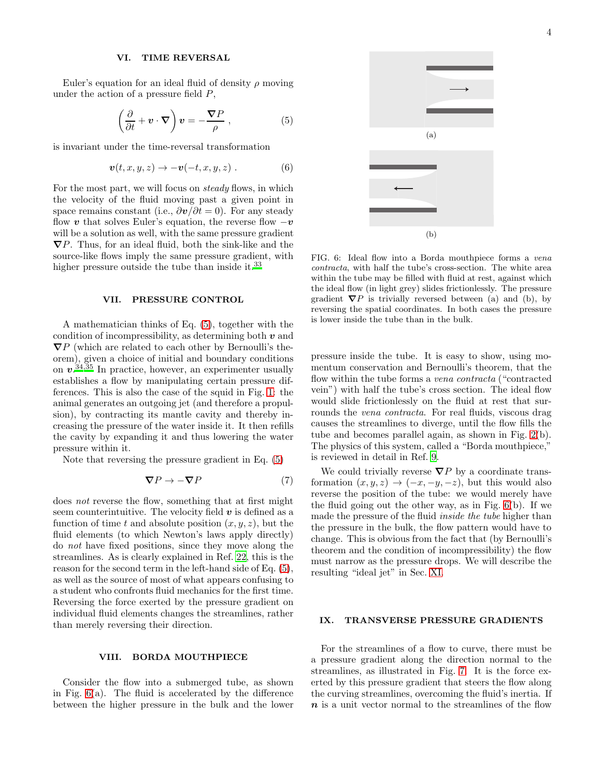### VI. TIME REVERSAL

Euler's equation for an ideal fluid of density  $\rho$  moving under the action of a pressure field  $P$ ,

<span id="page-3-2"></span>
$$
\left(\frac{\partial}{\partial t} + \mathbf{v} \cdot \nabla\right) \mathbf{v} = -\frac{\nabla P}{\rho} , \qquad (5)
$$

is invariant under the time-reversal transformation

$$
\boldsymbol{v}(t,x,y,z) \to -\boldsymbol{v}(-t,x,y,z) \ . \tag{6}
$$

For the most part, we will focus on *steady* flows, in which the velocity of the fluid moving past a given point in space remains constant (i.e.,  $\partial v / \partial t = 0$ ). For any steady flow v that solves Euler's equation, the reverse flow  $-v$ will be a solution as well, with the same pressure gradient  $\nabla P$ . Thus, for an ideal fluid, both the sink-like and the source-like flows imply the same pressure gradient, with higher pressure outside the tube than inside it.<sup>[33](#page-7-16)</sup>

#### VII. PRESSURE CONTROL

A mathematician thinks of Eq. [\(5\)](#page-3-2), together with the condition of incompressibility, as determining both  $v$  and  $\nabla P$  (which are related to each other by Bernoulli's theorem), given a choice of initial and boundary conditions on  $v^{0.34,35}$  $v^{0.34,35}$  $v^{0.34,35}$  $v^{0.34,35}$  In practice, however, an experimenter usually establishes a flow by manipulating certain pressure differences. This is also the case of the squid in Fig. [1:](#page-0-0) the animal generates an outgoing jet (and therefore a propulsion), by contracting its mantle cavity and thereby increasing the pressure of the water inside it. It then refills the cavity by expanding it and thus lowering the water pressure within it.

Note that reversing the pressure gradient in Eq. [\(5\)](#page-3-2)

$$
\nabla P \to -\nabla P \tag{7}
$$

does not reverse the flow, something that at first might seem counterintuitive. The velocity field  $v$  is defined as a function of time t and absolute position  $(x, y, z)$ , but the fluid elements (to which Newton's laws apply directly) do not have fixed positions, since they move along the streamlines. As is clearly explained in Ref. [22,](#page-7-5) this is the reason for the second term in the left-hand side of Eq. [\(5\)](#page-3-2), as well as the source of most of what appears confusing to a student who confronts fluid mechanics for the first time. Reversing the force exerted by the pressure gradient on individual fluid elements changes the streamlines, rather than merely reversing their direction.

### <span id="page-3-0"></span>VIII. BORDA MOUTHPIECE

Consider the flow into a submerged tube, as shown in Fig.  $6(a)$ . The fluid is accelerated by the difference between the higher pressure in the bulk and the lower



<span id="page-3-3"></span>FIG. 6: Ideal flow into a Borda mouthpiece forms a *vena contracta*, with half the tube's cross-section. The white area within the tube may be filled with fluid at rest, against which the ideal flow (in light grey) slides frictionlessly. The pressure gradient  $\nabla P$  is trivially reversed between (a) and (b), by reversing the spatial coordinates. In both cases the pressure is lower inside the tube than in the bulk.

pressure inside the tube. It is easy to show, using momentum conservation and Bernoulli's theorem, that the flow within the tube forms a vena contracta ("contracted vein") with half the tube's cross section. The ideal flow would slide frictionlessly on the fluid at rest that surrounds the *vena contracta*. For real fluids, viscous drag causes the streamlines to diverge, until the flow fills the tube and becomes parallel again, as shown in Fig. [2\(](#page-1-0)b). The physics of this system, called a "Borda mouthpiece," is reviewed in detail in Ref. [9.](#page-6-9)

We could trivially reverse  $\nabla P$  by a coordinate transformation  $(x, y, z) \rightarrow (-x, -y, -z)$ , but this would also reverse the position of the tube: we would merely have the fluid going out the other way, as in Fig. [6\(](#page-3-3)b). If we made the pressure of the fluid inside the tube higher than the pressure in the bulk, the flow pattern would have to change. This is obvious from the fact that (by Bernoulli's theorem and the condition of incompressibility) the flow must narrow as the pressure drops. We will describe the resulting "ideal jet" in Sec. [XI.](#page-5-0)

### <span id="page-3-1"></span>IX. TRANSVERSE PRESSURE GRADIENTS

For the streamlines of a flow to curve, there must be a pressure gradient along the direction normal to the streamlines, as illustrated in Fig. [7.](#page-4-0) It is the force exerted by this pressure gradient that steers the flow along the curving streamlines, overcoming the fluid's inertia. If  $n$  is a unit vector normal to the streamlines of the flow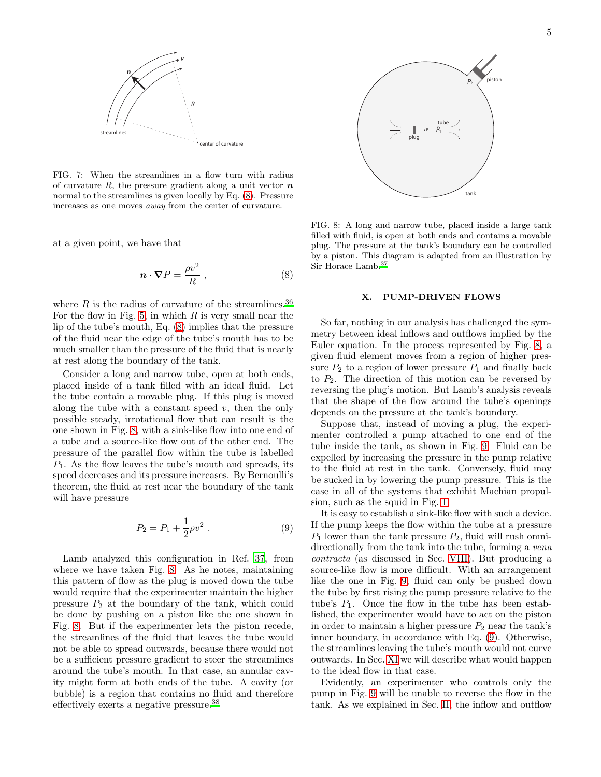

<span id="page-4-0"></span>FIG. 7: When the streamlines in a flow turn with radius of curvature R, the pressure gradient along a unit vector  $\boldsymbol{n}$ normal to the streamlines is given locally by Eq. [\(8\)](#page-4-1). Pressure increases as one moves *away* from the center of curvature.

at a given point, we have that

<span id="page-4-1"></span>
$$
\boldsymbol{n} \cdot \boldsymbol{\nabla} P = \frac{\rho v^2}{R} \,, \tag{8}
$$

where  $R$  is the radius of curvature of the streamlines.<sup>[36](#page-7-19)</sup> For the flow in Fig. [5,](#page-2-3) in which  $R$  is very small near the lip of the tube's mouth, Eq. [\(8\)](#page-4-1) implies that the pressure of the fluid near the edge of the tube's mouth has to be much smaller than the pressure of the fluid that is nearly at rest along the boundary of the tank.

Consider a long and narrow tube, open at both ends, placed inside of a tank filled with an ideal fluid. Let the tube contain a movable plug. If this plug is moved along the tube with a constant speed  $v$ , then the only possible steady, irrotational flow that can result is the one shown in Fig. [8,](#page-4-2) with a sink-like flow into one end of a tube and a source-like flow out of the other end. The pressure of the parallel flow within the tube is labelled  $P_1$ . As the flow leaves the tube's mouth and spreads, its speed decreases and its pressure increases. By Bernoulli's theorem, the fluid at rest near the boundary of the tank will have pressure

<span id="page-4-3"></span>
$$
P_2 = P_1 + \frac{1}{2}\rho v^2 \ . \tag{9}
$$

Lamb analyzed this configuration in Ref. [37,](#page-7-20) from where we have taken Fig. [8.](#page-4-2) As he notes, maintaining this pattern of flow as the plug is moved down the tube would require that the experimenter maintain the higher pressure  $P_2$  at the boundary of the tank, which could be done by pushing on a piston like the one shown in Fig. [8.](#page-4-2) But if the experimenter lets the piston recede, the streamlines of the fluid that leaves the tube would not be able to spread outwards, because there would not be a sufficient pressure gradient to steer the streamlines around the tube's mouth. In that case, an annular cavity might form at both ends of the tube. A cavity (or bubble) is a region that contains no fluid and therefore effectively exerts a negative pressure.[38](#page-7-21)



<span id="page-4-2"></span>FIG. 8: A long and narrow tube, placed inside a large tank filled with fluid, is open at both ends and contains a movable plug. The pressure at the tank's boundary can be controlled by a piston. This diagram is adapted from an illustration by Sir Horace Lamb[.](#page-7-20)<sup>37</sup>

#### X. PUMP-DRIVEN FLOWS

So far, nothing in our analysis has challenged the symmetry between ideal inflows and outflows implied by the Euler equation. In the process represented by Fig. [8,](#page-4-2) a given fluid element moves from a region of higher pressure  $P_2$  to a region of lower pressure  $P_1$  and finally back to  $P_2$ . The direction of this motion can be reversed by reversing the plug's motion. But Lamb's analysis reveals that the shape of the flow around the tube's openings depends on the pressure at the tank's boundary.

Suppose that, instead of moving a plug, the experimenter controlled a pump attached to one end of the tube inside the tank, as shown in Fig. [9.](#page-5-1) Fluid can be expelled by increasing the pressure in the pump relative to the fluid at rest in the tank. Conversely, fluid may be sucked in by lowering the pump pressure. This is the case in all of the systems that exhibit Machian propulsion, such as the squid in Fig. [1.](#page-0-0)

It is easy to establish a sink-like flow with such a device. If the pump keeps the flow within the tube at a pressure  $P_1$  lower than the tank pressure  $P_2$ , fluid will rush omnidirectionally from the tank into the tube, forming a *vena* contracta (as discussed in Sec. [VIII\)](#page-3-0). But producing a source-like flow is more difficult. With an arrangement like the one in Fig. [9,](#page-5-1) fluid can only be pushed down the tube by first rising the pump pressure relative to the tube's  $P_1$ . Once the flow in the tube has been established, the experimenter would have to act on the piston in order to maintain a higher pressure  $P_2$  near the tank's inner boundary, in accordance with Eq. [\(9\)](#page-4-3). Otherwise, the streamlines leaving the tube's mouth would not curve outwards. In Sec. [XI](#page-5-0) we will describe what would happen to the ideal flow in that case.

Evidently, an experimenter who controls only the pump in Fig. [9](#page-5-1) will be unable to reverse the flow in the tank. As we explained in Sec. [II,](#page-0-1) the inflow and outflow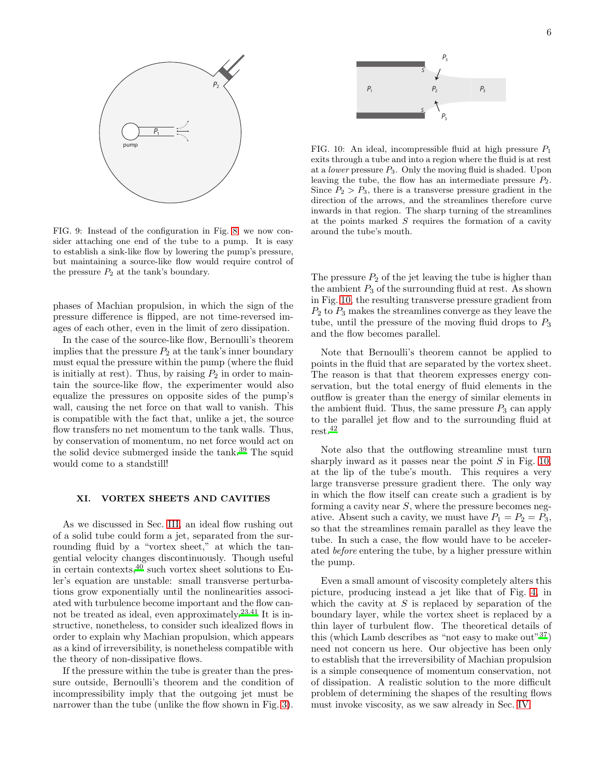

<span id="page-5-1"></span>FIG. 9: Instead of the configuration in Fig. [8,](#page-4-2) we now consider attaching one end of the tube to a pump. It is easy to establish a sink-like flow by lowering the pump's pressure, but maintaining a source-like flow would require control of the pressure  $P_2$  at the tank's boundary.

phases of Machian propulsion, in which the sign of the pressure difference is flipped, are not time-reversed images of each other, even in the limit of zero dissipation.

In the case of the source-like flow, Bernoulli's theorem implies that the pressure  $P_2$  at the tank's inner boundary must equal the pressure within the pump (where the fluid is initially at rest). Thus, by raising  $P_2$  in order to maintain the source-like flow, the experimenter would also equalize the pressures on opposite sides of the pump's wall, causing the net force on that wall to vanish. This is compatible with the fact that, unlike a jet, the source flow transfers no net momentum to the tank walls. Thus, by conservation of momentum, no net force would act on the solid device submerged inside the tank.<sup>[39](#page-7-22)</sup> The squid would come to a standstill!

## <span id="page-5-0"></span>XI. VORTEX SHEETS AND CAVITIES

As we discussed in Sec. [III,](#page-1-4) an ideal flow rushing out of a solid tube could form a jet, separated from the surrounding fluid by a "vortex sheet," at which the tangential velocity changes discontinuously. Though useful in certain contexts,  $40$  such vortex sheet solutions to Euler's equation are unstable: small transverse perturbations grow exponentially until the nonlinearities associated with turbulence become important and the flow cannot be treated as ideal, even approximately.[23](#page-7-7)[,41](#page-7-24) It is instructive, nonetheless, to consider such idealized flows in order to explain why Machian propulsion, which appears as a kind of irreversibility, is nonetheless compatible with the theory of non-dissipative flows.

If the pressure within the tube is greater than the pressure outside, Bernoulli's theorem and the condition of incompressibility imply that the outgoing jet must be narrower than the tube (unlike the flow shown in Fig. [3\)](#page-1-2).



<span id="page-5-2"></span>FIG. 10: An ideal, incompressible fluid at high pressure  $P_1$ exits through a tube and into a region where the fluid is at rest at a *lower* pressure P3. Only the moving fluid is shaded. Upon leaving the tube, the flow has an intermediate pressure  $P_2$ . Since  $P_2 > P_3$ , there is a transverse pressure gradient in the direction of the arrows, and the streamlines therefore curve inwards in that region. The sharp turning of the streamlines at the points marked  $S$  requires the formation of a cavity around the tube's mouth.

The pressure  $P_2$  of the jet leaving the tube is higher than the ambient  $P_3$  of the surrounding fluid at rest. As shown in Fig. [10,](#page-5-2) the resulting transverse pressure gradient from  $P_2$  to  $P_3$  makes the streamlines converge as they leave the tube, until the pressure of the moving fluid drops to  $P_3$ and the flow becomes parallel.

Note that Bernoulli's theorem cannot be applied to points in the fluid that are separated by the vortex sheet. The reason is that that theorem expresses energy conservation, but the total energy of fluid elements in the outflow is greater than the energy of similar elements in the ambient fluid. Thus, the same pressure  $P_3$  can apply to the parallel jet flow and to the surrounding fluid at rest.[42](#page-7-25)

Note also that the outflowing streamline must turn sharply inward as it passes near the point  $S$  in Fig. [10,](#page-5-2) at the lip of the tube's mouth. This requires a very large transverse pressure gradient there. The only way in which the flow itself can create such a gradient is by forming a cavity near  $S$ , where the pressure becomes negative. Absent such a cavity, we must have  $P_1 = P_2 = P_3$ , so that the streamlines remain parallel as they leave the tube. In such a case, the flow would have to be accelerated before entering the tube, by a higher pressure within the pump.

Even a small amount of viscosity completely alters this picture, producing instead a jet like that of Fig. [4,](#page-2-1) in which the cavity at  $S$  is replaced by separation of the boundary layer, while the vortex sheet is replaced by a thin layer of turbulent flow. The theoretical details of this (which Lamb describes as "not easy to make out"  $37$ ) need not concern us here. Our objective has been only to establish that the irreversibility of Machian propulsion is a simple consequence of momentum conservation, not of dissipation. A realistic solution to the more difficult problem of determining the shapes of the resulting flows must invoke viscosity, as we saw already in Sec. [IV.](#page-2-0)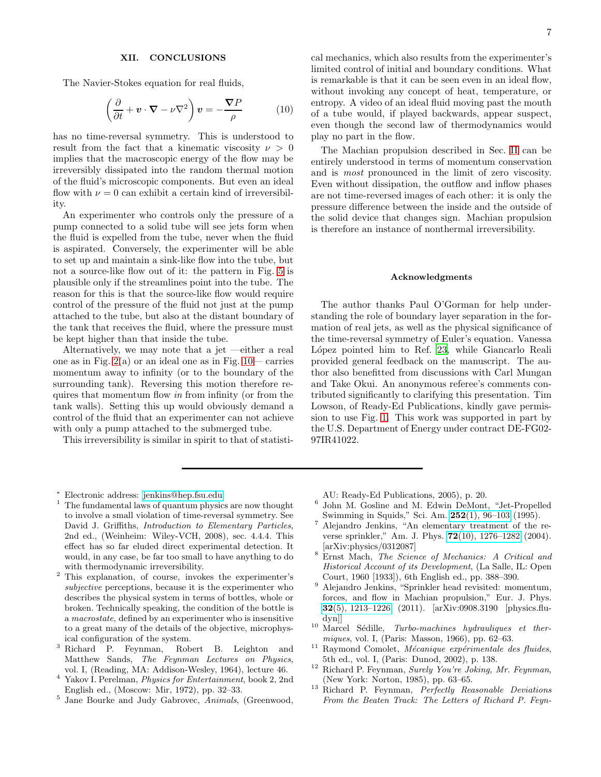### XII. CONCLUSIONS

The Navier-Stokes equation for real fluids,

$$
\left(\frac{\partial}{\partial t} + \mathbf{v} \cdot \mathbf{\nabla} - \nu \nabla^2\right) \mathbf{v} = -\frac{\nabla P}{\rho} \tag{10}
$$

has no time-reversal symmetry. This is understood to result from the fact that a kinematic viscosity  $\nu > 0$ implies that the macroscopic energy of the flow may be irreversibly dissipated into the random thermal motion of the fluid's microscopic components. But even an ideal flow with  $\nu = 0$  can exhibit a certain kind of irreversibility.

An experimenter who controls only the pressure of a pump connected to a solid tube will see jets form when the fluid is expelled from the tube, never when the fluid is aspirated. Conversely, the experimenter will be able to set up and maintain a sink-like flow into the tube, but not a source-like flow out of it: the pattern in Fig. [5](#page-2-3) is plausible only if the streamlines point into the tube. The reason for this is that the source-like flow would require control of the pressure of the fluid not just at the pump attached to the tube, but also at the distant boundary of the tank that receives the fluid, where the pressure must be kept higher than that inside the tube.

Alternatively, we may note that a jet —either a real one as in Fig.  $2(a)$  or an ideal one as in Fig.  $10$ — carries momentum away to infinity (or to the boundary of the surrounding tank). Reversing this motion therefore requires that momentum flow in from infinity (or from the tank walls). Setting this up would obviously demand a control of the fluid that an experimenter can not achieve with only a pump attached to the submerged tube.

This irreversibility is similar in spirit to that of statisti-

cal mechanics, which also results from the experimenter's limited control of initial and boundary conditions. What is remarkable is that it can be seen even in an ideal flow, without invoking any concept of heat, temperature, or entropy. A video of an ideal fluid moving past the mouth of a tube would, if played backwards, appear suspect, even though the second law of thermodynamics would play no part in the flow.

The Machian propulsion described in Sec. [II](#page-0-1) can be entirely understood in terms of momentum conservation and is most pronounced in the limit of zero viscosity. Even without dissipation, the outflow and inflow phases are not time-reversed images of each other: it is only the pressure difference between the inside and the outside of the solid device that changes sign. Machian propulsion is therefore an instance of nonthermal irreversibility.

#### Acknowledgments

The author thanks Paul O'Gorman for help understanding the role of boundary layer separation in the formation of real jets, as well as the physical significance of the time-reversal symmetry of Euler's equation. Vanessa López pointed him to Ref. [23,](#page-7-7) while Giancarlo Reali provided general feedback on the manuscript. The author also benefitted from discussions with Carl Mungan and Take Okui. An anonymous referee's comments contributed significantly to clarifying this presentation. Tim Lowson, of Ready-Ed Publications, kindly gave permission to use Fig. [1.](#page-0-0) This work was supported in part by the U.S. Department of Energy under contract DE-FG02- 97IR41022.

- <sup>∗</sup> Electronic address: [jenkins@hep.fsu.edu](mailto:jenkins@hep.fsu.edu)
- <span id="page-6-1"></span><span id="page-6-0"></span> $1$  The fundamental laws of quantum physics are now thought to involve a small violation of time-reversal symmetry. See David J. Griffiths, *Introduction to Elementary Particles*, 2nd ed., (Weinheim: Wiley-VCH, 2008), sec. 4.4.4. This effect has so far eluded direct experimental detection. It would, in any case, be far too small to have anything to do with thermodynamic irreversibility.
- <span id="page-6-2"></span><sup>2</sup> This explanation, of course, invokes the experimenter's *subjective* perceptions, because it is the experimenter who describes the physical system in terms of bottles, whole or broken. Technically speaking, the condition of the bottle is a *macrostate*, defined by an experimenter who is insensitive to a great many of the details of the objective, microphysical configuration of the system.
- <span id="page-6-3"></span><sup>3</sup> Richard P. Feynman, Robert B. Leighton and Matthew Sands, *The Feynman Lectures on Physics*, vol. I, (Reading, MA: Addison-Wesley, 1964), lecture 46.
- <span id="page-6-5"></span><sup>4</sup> Yakov I. Perelman, *Physics for Entertainment*, book 2, 2nd English ed., (Moscow: Mir, 1972), pp. 32–33.
- <span id="page-6-4"></span><sup>5</sup> Jane Bourke and Judy Gabrovec, *Animals*, (Greenwood,

AU: Ready-Ed Publications, 2005), p. 20.

- <span id="page-6-6"></span>6 John M. Gosline and M. Edwin DeMont, "Jet-Propelled Swimming in Squids," Sci. Am. 252[\(1\), 96–103](http://www.scientificamerican.com/article/jet-propelled-swimming-in-squids/) (1995).
- <span id="page-6-7"></span><sup>7</sup> Alejandro Jenkins, "An elementary treatment of the reverse sprinkler," Am. J. Phys. 72[\(10\), 1276–1282](http://dx.doi.org/10.1119/1.1761063) (2004). [arXiv:physics/0312087]
- <span id="page-6-8"></span><sup>8</sup> Ernst Mach, *The Science of Mechanics: A Critical and Historical Account of its Development*, (La Salle, IL: Open Court, 1960 [1933]), 6th English ed., pp. 388–390.
- <span id="page-6-9"></span><sup>9</sup> Alejandro Jenkins, "Sprinkler head revisited: momentum, forces, and flow in Machian propulsion," Eur. J. Phys. 32[\(5\), 1213–1226](http://dx.doi.org/10.1088/0143-0807/32/5/009) (2011). [arXiv:0908.3190 [physics.fludyn]]
- <span id="page-6-10"></span><sup>10</sup> Marcel Sédille, *Turbo-machines hydrauliques et thermiques*, vol. I, (Paris: Masson, 1966), pp. 62–63.
- <span id="page-6-11"></span><sup>11</sup> Raymond Comolet, *M´ecanique exp´erimentale des fluides*, 5th ed., vol. I, (Paris: Dunod, 2002), p. 138.
- <span id="page-6-12"></span><sup>12</sup> Richard P. Feynman, *Surely You're Joking, Mr. Feynman*, (New York: Norton, 1985), pp. 63–65.
- <sup>13</sup> Richard P. Feynman, *Perfectly Reasonable Deviations From the Beaten Track: The Letters of Richard P. Feyn-*